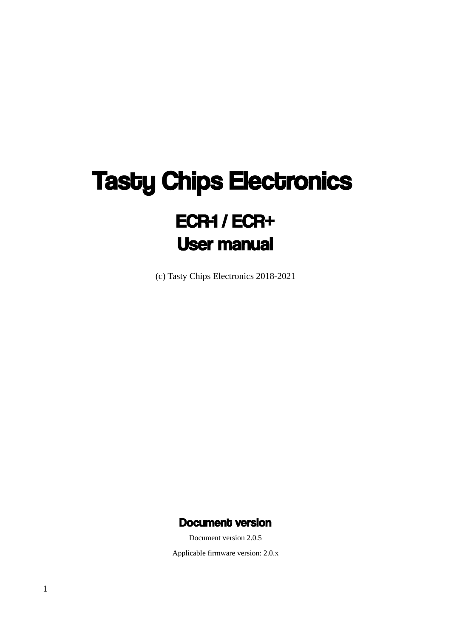# **Tasty Chips Electronics** ECR-1 / ECR+ User manual

(c) Tasty Chips Electronics 2018-2021

### Document version

Document version 2.0.5

Applicable firmware version: 2.0.x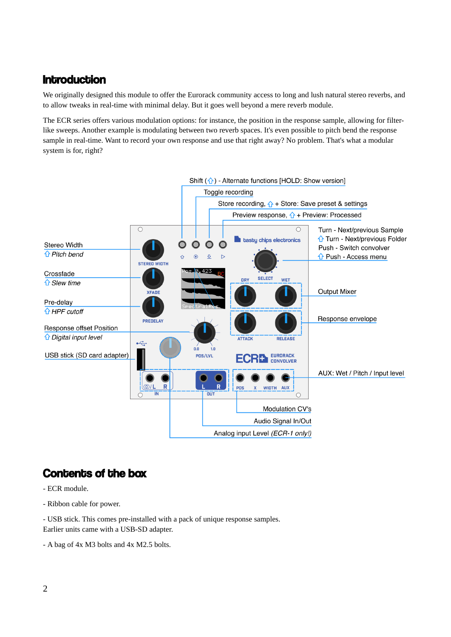# **Introduction**

We originally designed this module to offer the Eurorack community access to long and lush natural stereo reverbs, and to allow tweaks in real-time with minimal delay. But it goes well beyond a mere reverb module.

The ECR series offers various modulation options: for instance, the position in the response sample, allowing for filterlike sweeps. Another example is modulating between two reverb spaces. It's even possible to pitch bend the response sample in real-time. Want to record your own response and use that right away? No problem. That's what a modular system is for, right?



# Contents of the box

- ECR module.
- Ribbon cable for power.

- USB stick. This comes pre-installed with a pack of unique response samples. Earlier units came with a USB-SD adapter.

- A bag of 4x M3 bolts and 4x M2.5 bolts.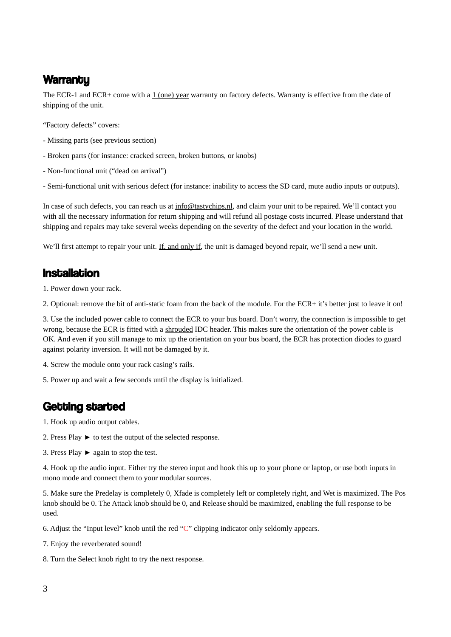# **Warranty**

The ECR-1 and ECR+ come with a 1 (one) year warranty on factory defects. Warranty is effective from the date of shipping of the unit.

"Factory defects" covers:

- Missing parts (see previous section)
- Broken parts (for instance: cracked screen, broken buttons, or knobs)
- Non-functional unit ("dead on arrival")
- Semi-functional unit with serious defect (for instance: inability to access the SD card, mute audio inputs or outputs).

In case of such defects, you can reach us at info@tastychips.nl, and claim your unit to be repaired. We'll contact you with all the necessary information for return shipping and will refund all postage costs incurred. Please understand that shipping and repairs may take several weeks depending on the severity of the defect and your location in the world.

We'll first attempt to repair your unit. If, and only if, the unit is damaged beyond repair, we'll send a new unit.

### **Installation**

1. Power down your rack.

2. Optional: remove the bit of anti-static foam from the back of the module. For the ECR+ it's better just to leave it on!

3. Use the included power cable to connect the ECR to your bus board. Don't worry, the connection is impossible to get wrong, because the ECR is fitted with a shrouded IDC header. This makes sure the orientation of the power cable is OK. And even if you still manage to mix up the orientation on your bus board, the ECR has protection diodes to guard against polarity inversion. It will not be damaged by it.

- 4. Screw the module onto your rack casing's rails.
- 5. Power up and wait a few seconds until the display is initialized.

# Getting started

1. Hook up audio output cables.

- 2. Press Play ► to test the output of the selected response.
- 3. Press Play ► again to stop the test.

4. Hook up the audio input. Either try the stereo input and hook this up to your phone or laptop, or use both inputs in mono mode and connect them to your modular sources.

5. Make sure the Predelay is completely 0, Xfade is completely left or completely right, and Wet is maximized. The Pos knob should be 0. The Attack knob should be 0, and Release should be maximized, enabling the full response to be used.

6. Adjust the "Input level" knob until the red "C" clipping indicator only seldomly appears.

7. Enjoy the reverberated sound!

8. Turn the Select knob right to try the next response.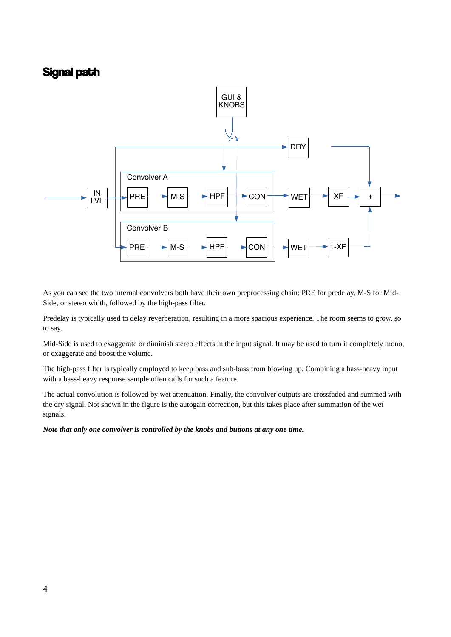# Signal path



As you can see the two internal convolvers both have their own preprocessing chain: PRE for predelay, M-S for Mid-Side, or stereo width, followed by the high-pass filter.

Predelay is typically used to delay reverberation, resulting in a more spacious experience. The room seems to grow, so to say.

Mid-Side is used to exaggerate or diminish stereo effects in the input signal. It may be used to turn it completely mono, or exaggerate and boost the volume.

The high-pass filter is typically employed to keep bass and sub-bass from blowing up. Combining a bass-heavy input with a bass-heavy response sample often calls for such a feature.

The actual convolution is followed by wet attenuation. Finally, the convolver outputs are crossfaded and summed with the dry signal. Not shown in the figure is the autogain correction, but this takes place after summation of the wet signals.

*Note that only one convolver is controlled by the knobs and buttons at any one time.*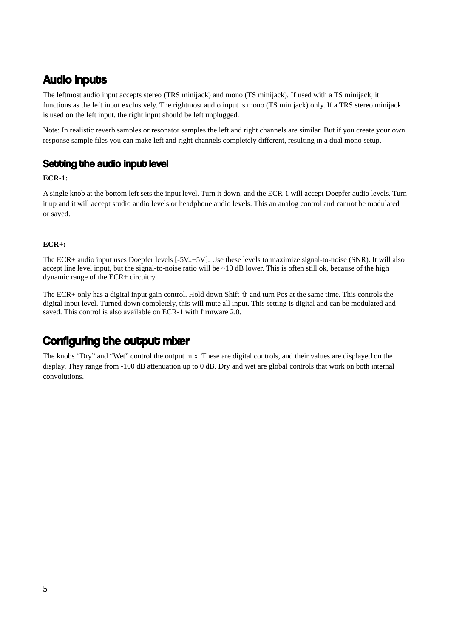# **Audio inputs**

The leftmost audio input accepts stereo (TRS minijack) and mono (TS minijack). If used with a TS minijack, it functions as the left input exclusively. The rightmost audio input is mono (TS minijack) only. If a TRS stereo minijack is used on the left input, the right input should be left unplugged.

Note: In realistic reverb samples or resonator samples the left and right channels are similar. But if you create your own response sample files you can make left and right channels completely different, resulting in a dual mono setup.

### Setting the audio input level

#### **ECR-1:**

A single knob at the bottom left sets the input level. Turn it down, and the ECR-1 will accept Doepfer audio levels. Turn it up and it will accept studio audio levels or headphone audio levels. This an analog control and cannot be modulated or saved.

#### **ECR+:**

The ECR+ audio input uses Doepfer levels [-5V..+5V]. Use these levels to maximize signal-to-noise (SNR). It will also accept line level input, but the signal-to-noise ratio will be ~10 dB lower. This is often still ok, because of the high dynamic range of the ECR+ circuitry.

The ECR+ only has a digital input gain control. Hold down Shift  $\hat{u}$  and turn Pos at the same time. This controls the digital input level. Turned down completely, this will mute all input. This setting is digital and can be modulated and saved. This control is also available on ECR-1 with firmware 2.0.

# Configuring the output mixer

The knobs "Dry" and "Wet" control the output mix. These are digital controls, and their values are displayed on the display. They range from -100 dB attenuation up to 0 dB. Dry and wet are global controls that work on both internal convolutions.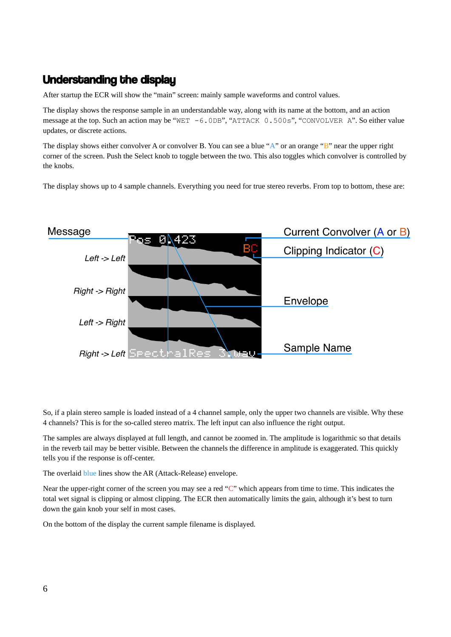# Understanding the display

After startup the ECR will show the "main" screen: mainly sample waveforms and control values.

The display shows the response sample in an understandable way, along with its name at the bottom, and an action message at the top. Such an action may be "WET -6.0DB", "ATTACK 0.500s", "CONVOLVER A". So either value updates, or discrete actions.

The display shows either convolver A or convolver B. You can see a blue "A" or an orange "B" near the upper right corner of the screen. Push the Select knob to toggle between the two. This also toggles which convolver is controlled by the knobs.

The display shows up to 4 sample channels. Everything you need for true stereo reverbs. From top to bottom, these are:



So, if a plain stereo sample is loaded instead of a 4 channel sample, only the upper two channels are visible. Why these 4 channels? This is for the so-called stereo matrix. The left input can also influence the right output.

The samples are always displayed at full length, and cannot be zoomed in. The amplitude is logarithmic so that details in the reverb tail may be better visible. Between the channels the difference in amplitude is exaggerated. This quickly tells you if the response is off-center.

The overlaid blue lines show the AR (Attack-Release) envelope.

Near the upper-right corner of the screen you may see a red "C" which appears from time to time. This indicates the total wet signal is clipping or almost clipping. The ECR then automatically limits the gain, although it's best to turn down the gain knob your self in most cases.

On the bottom of the display the current sample filename is displayed.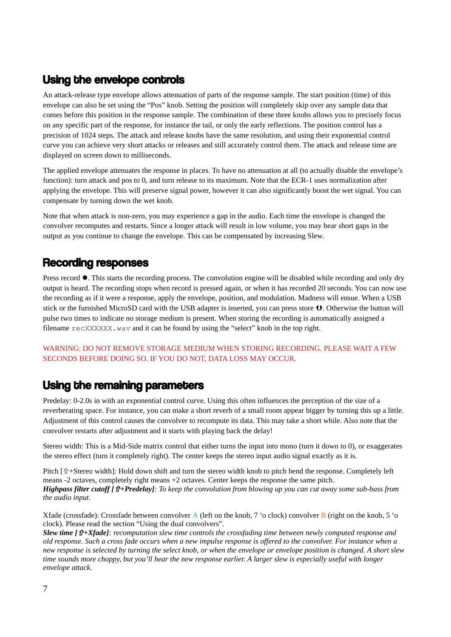# Using the envelope controls

An attack-release type envelope allows attenuation of parts of the response sample. The start position (time) of this envelope can also be set using the "Pos" knob. Setting the position will completely skip over any sample data that comes before this position in the response sample. The combination of these three knobs allows you to precisely focus on any specific part of the response, for instance the tail, or only the early reflections. The position control has a precision of 1024 steps. The attack and release knobs have the same resolution, and using their exponential control curve you can achieve very short attacks or releases and still accurately control them. The attack and release time are displayed on screen down to milliseconds.

The applied envelope attenuates the response in places. To have no attenuation at all (to actually disable the envelope's function): turn attack and pos to 0, and turn release to its maximum. Note that the ECR-1 uses normalization after applying the envelope. This will preserve signal power, however it can also significantly boost the wet signal. You can compensate by turning down the wet knob.

Note that when attack is non-zero, you may experience a gap in the audio. Each time the envelope is changed the convolver recomputes and restarts. Since a longer attack will result in low volume, you may hear short gaps in the output as you continue to change the envelope. This can be compensated by increasing Slew.

# Recording responses

Press record  $\bullet$ . This starts the recording process. The convolution engine will be disabled while recording and only dry output is heard. The recording stops when record is pressed again, or when it has recorded 20 seconds. You can now use the recording as if it were a response, apply the envelope, position, and modulation. Madness will ensue. When a USB stick or the furnished MicroSD card with the USB adapter is inserted, you can press store  $\bf{0}$ . Otherwise the button will pulse two times to indicate no storage medium is present. When storing the recording is automatically assigned a filename  ${\rm recXXXXX}$ , way and it can be found by using the "select" knob in the top right.

#### WARNING: DO NOT REMOVE STORAGE MEDIUM WHEN STORING RECORDING. PLEASE WAIT A FEW SECONDS BEFORE DOING SO. IF YOU DO NOT, DATA LOSS MAY OCCUR.

# Using the remaining parameters

Predelay: 0-2.0s in with an exponential control curve. Using this often influences the perception of the size of a reverberating space. For instance, you can make a short reverb of a small room appear bigger by turning this up a little. Adjustment of this control causes the convolver to recompute its data. This may take a short while. Also note that the convolver restarts after adjustment and it starts with playing back the delay!

Stereo width: This is a Mid-Side matrix control that either turns the input into mono (turn it down to 0), or exaggerates the stereo effect (turn it completely right). The center keeps the stereo input audio signal exactly as it is.

Pitch  $f \hat{u}$  +Stereo width]: Hold down shift and turn the stereo width knob to pitch bend the response. Completely left means -2 octaves, completely right means +2 octaves. Center keeps the response the same pitch. *Highpass filter cutoff [+Predelay]: To keep the convolution from blowing up you can cut away some sub-bass from the audio input.* 

Xfade (crossfade): Crossfade between convolver A (left on the knob, 7 'o clock) convolver B (right on the knob, 5 'o clock). Please read the section "Using the dual convolvers".

*Slew time [+Xfade]: recomputation slew time controls the crossfading time between newly computed response and old response. Such a cross fade occurs when a new impulse response is offered to the convolver. For instance when a new response is selected by turning the select knob, or when the envelope or envelope position is changed. A short slew time sounds more choppy, but you'll hear the new response earlier. A larger slew is especially useful with longer envelope attack.*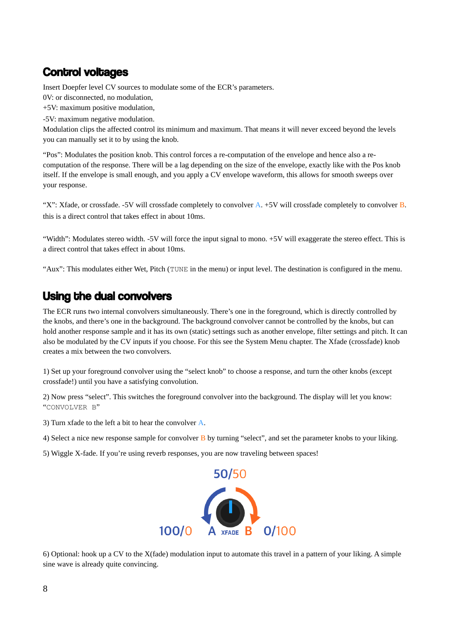# Control voltages

Insert Doepfer level CV sources to modulate some of the ECR's parameters.

0V: or disconnected, no modulation,

+5V: maximum positive modulation,

-5V: maximum negative modulation.

Modulation clips the affected control its minimum and maximum. That means it will never exceed beyond the levels you can manually set it to by using the knob.

"Pos": Modulates the position knob. This control forces a re-computation of the envelope and hence also a recomputation of the response. There will be a lag depending on the size of the envelope, exactly like with the Pos knob itself. If the envelope is small enough, and you apply a CV envelope waveform, this allows for smooth sweeps over your response.

"X": Xfade, or crossfade. -5V will crossfade completely to convolver  $A$ . +5V will crossfade completely to convolver  $B$ . this is a direct control that takes effect in about 10ms.

"Width": Modulates stereo width. -5V will force the input signal to mono. +5V will exaggerate the stereo effect. This is a direct control that takes effect in about 10ms.

"Aux": This modulates either Wet, Pitch (TUNE in the menu) or input level. The destination is configured in the menu.

# Using the dual convolvers

The ECR runs two internal convolvers simultaneously. There's one in the foreground, which is directly controlled by the knobs, and there's one in the background. The background convolver cannot be controlled by the knobs, but can hold another response sample and it has its own (static) settings such as another envelope, filter settings and pitch. It can also be modulated by the CV inputs if you choose. For this see the System Menu chapter. The Xfade (crossfade) knob creates a mix between the two convolvers.

1) Set up your foreground convolver using the "select knob" to choose a response, and turn the other knobs (except crossfade!) until you have a satisfying convolution.

2) Now press "select". This switches the foreground convolver into the background. The display will let you know: "CONVOLVER B"

3) Turn xfade to the left a bit to hear the convolver A.

4) Select a nice new response sample for convolver  $\overline{B}$  by turning "select", and set the parameter knobs to your liking.

5) Wiggle X-fade. If you're using reverb responses, you are now traveling between spaces!



6) Optional: hook up a CV to the X(fade) modulation input to automate this travel in a pattern of your liking. A simple sine wave is already quite convincing.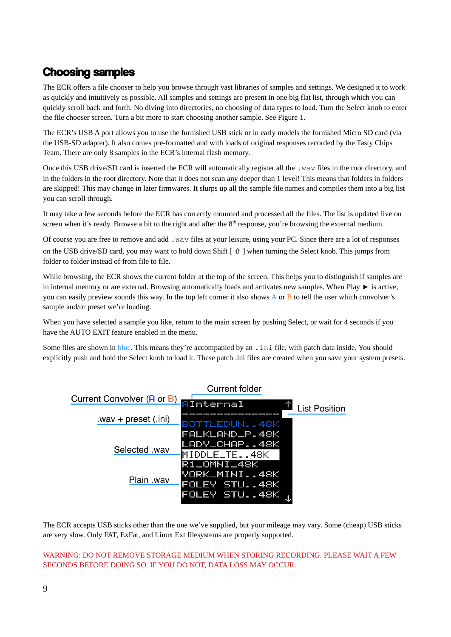# Choosing samples

The ECR offers a file chooser to help you browse through vast libraries of samples and settings. We designed it to work as quickly and intuitively as possible. All samples and settings are present in one big flat list, through which you can quickly scroll back and forth. No diving into directories, no choosing of data types to load. Turn the Select knob to enter the file chooser screen. Turn a bit more to start choosing another sample. See Figure 1.

The ECR's USB A port allows you to use the furnished USB stick or in early models the furnished Micro SD card (via the USB-SD adapter). It also comes pre-formatted and with loads of original responses recorded by the Tasty Chips Team. There are only 8 samples in the ECR's internal flash memory.

Once this USB drive/SD card is inserted the ECR will automatically register all the .wav files in the root directory, and in the folders in the root directory. Note that it does not scan any deeper than 1 level! This means that folders in folders are skipped! This may change in later firmwares. It slurps up all the sample file names and compiles them into a big list you can scroll through.

It may take a few seconds before the ECR has correctly mounted and processed all the files. The list is updated live on screen when it's ready. Browse a bit to the right and after the  $8<sup>th</sup>$  response, you're browsing the external medium.

Of course you are free to remove and add .wav files at your leisure, using your PC. Since there are a lot of responses on the USB drive/SD card, you may want to hold down Shift  $[\hat{u}]$  when turning the Select knob. This jumps from folder to folder instead of from file to file.

While browsing, the ECR shows the current folder at the top of the screen. This helps you to distinguish if samples are in internal memory or are external. Browsing automatically loads and activates new samples. When Play ► is active, you can easily preview sounds this way. In the top left corner it also shows A or B to tell the user which convolver's sample and/or preset we're loading.

When you have selected a sample you like, return to the main screen by pushing Select, or wait for 4 seconds if you have the AUTO EXIT feature enabled in the menu.

Some files are shown in blue. This means they're accompanied by an .ini file, with patch data inside. You should explicitly push and hold the Select knob to load it. These patch .ini files are created when you save your system presets.



The ECR accepts USB sticks other than the one we've supplied, but your mileage may vary. Some (cheap) USB sticks are very slow. Only FAT, ExFat, and Linux Ext filesystems are properly supported.

#### WARNING: DO NOT REMOVE STORAGE MEDIUM WHEN STORING RECORDING. PLEASE WAIT A FEW SECONDS BEFORE DOING SO. IF YOU DO NOT, DATA LOSS MAY OCCUR.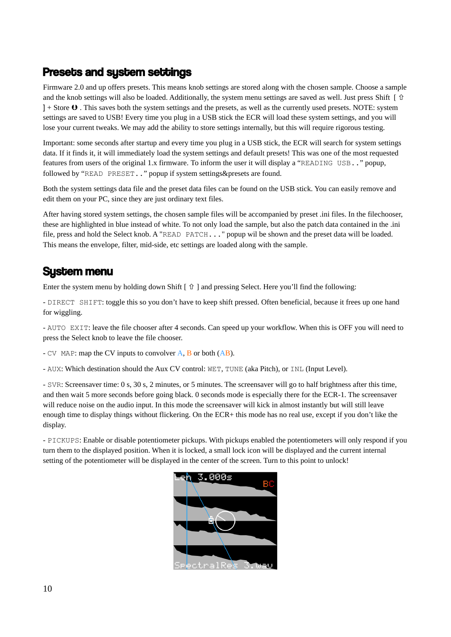# Presets and system settings

Firmware 2.0 and up offers presets. This means knob settings are stored along with the chosen sample. Choose a sample and the knob settings will also be loaded. Additionally, the system menu settings are saved as well. Just press Shift [ $\hat{\theta}$ ]  $] +$  Store  $\bf{0}$  . This saves both the system settings and the presets, as well as the currently used presets. NOTE: system settings are saved to USB! Every time you plug in a USB stick the ECR will load these system settings, and you will lose your current tweaks. We may add the ability to store settings internally, but this will require rigorous testing.

Important: some seconds after startup and every time you plug in a USB stick, the ECR will search for system settings data. If it finds it, it will immediately load the system settings and default presets! This was one of the most requested features from users of the original 1.x firmware. To inform the user it will display a "READING USB.." popup, followed by "READ PRESET.." popup if system settings&presets are found.

Both the system settings data file and the preset data files can be found on the USB stick. You can easily remove and edit them on your PC, since they are just ordinary text files.

After having stored system settings, the chosen sample files will be accompanied by preset .ini files. In the filechooser, these are highlighted in blue instead of white. To not only load the sample, but also the patch data contained in the .ini file, press and hold the Select knob. A "READ PATCH..." popup wil be shown and the preset data will be loaded. This means the envelope, filter, mid-side, etc settings are loaded along with the sample.

# System menu

Enter the system menu by holding down Shift  $\lceil \hat{v} \rceil$  and pressing Select. Here you'll find the following:

- DIRECT SHIFT: toggle this so you don't have to keep shift pressed. Often beneficial, because it frees up one hand for wiggling.

- AUTO EXIT: leave the file chooser after 4 seconds. Can speed up your workflow. When this is OFF you will need to press the Select knob to leave the file chooser.

- CV MAP: map the CV inputs to convolver  $A$ ,  $B$  or both  $(AB)$ .

- AUX: Which destination should the Aux CV control: WET, TUNE (aka Pitch), or INL (Input Level).

- SVR: Screensaver time: 0 s, 30 s, 2 minutes, or 5 minutes. The screensaver will go to half brightness after this time, and then wait 5 more seconds before going black. 0 seconds mode is especially there for the ECR-1. The screensaver will reduce noise on the audio input. In this mode the screensaver will kick in almost instantly but will still leave enough time to display things without flickering. On the ECR+ this mode has no real use, except if you don't like the display.

- PICKUPS: Enable or disable potentiometer pickups. With pickups enabled the potentiometers will only respond if you turn them to the displayed position. When it is locked, a small lock icon will be displayed and the current internal setting of the potentiometer will be displayed in the center of the screen. Turn to this point to unlock!

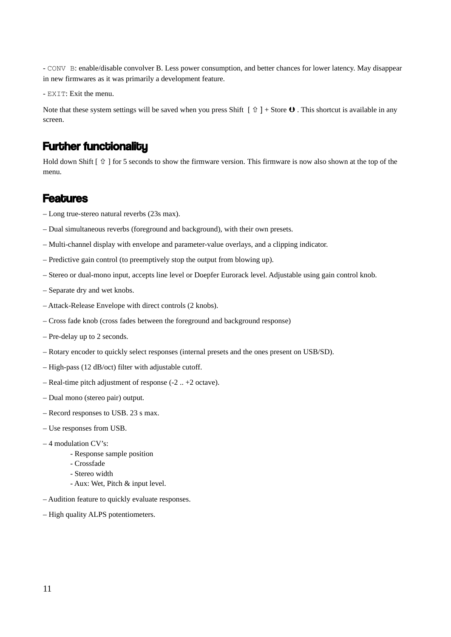- CONV B: enable/disable convolver B. Less power consumption, and better chances for lower latency. May disappear in new firmwares as it was primarily a development feature.

- EXIT: Exit the menu.

Note that these system settings will be saved when you press Shift  $[\hat{u}]$  + Store  $\bf{0}$ . This shortcut is available in any screen.

### **Further functionality**

Hold down Shift  $\lceil \theta \rceil$  for 5 seconds to show the firmware version. This firmware is now also shown at the top of the menu.

### **Features**

- Long true-stereo natural reverbs (23s max).
- Dual simultaneous reverbs (foreground and background), with their own presets.
- Multi-channel display with envelope and parameter-value overlays, and a clipping indicator.
- Predictive gain control (to preemptively stop the output from blowing up).
- Stereo or dual-mono input, accepts line level or Doepfer Eurorack level. Adjustable using gain control knob.
- Separate dry and wet knobs.
- Attack-Release Envelope with direct controls (2 knobs).
- Cross fade knob (cross fades between the foreground and background response)
- Pre-delay up to 2 seconds.
- Rotary encoder to quickly select responses (internal presets and the ones present on USB/SD).
- High-pass (12 dB/oct) filter with adjustable cutoff.
- Real-time pitch adjustment of response (-2 .. +2 octave).
- Dual mono (stereo pair) output.
- Record responses to USB. 23 s max.
- Use responses from USB.
- 4 modulation CV's:
	- Response sample position
	- Crossfade
	- Stereo width
	- Aux: Wet, Pitch & input level.
- Audition feature to quickly evaluate responses.
- High quality ALPS potentiometers.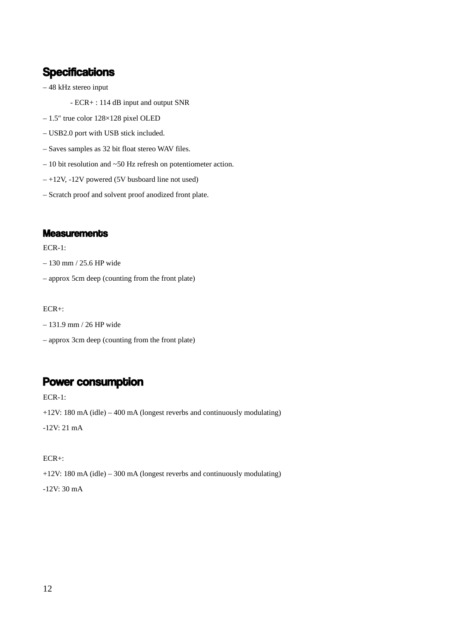# **Specifications**

- 48 kHz stereo input
	- ECR+ : 114 dB input and output SNR
- 1.5″ true color 128×128 pixel OLED
- USB2.0 port with USB stick included.
- Saves samples as 32 bit float stereo WAV files.
- $-10$  bit resolution and  $\sim$  50 Hz refresh on potentiometer action.
- +12V, -12V powered (5V busboard line not used)
- Scratch proof and solvent proof anodized front plate.

#### **Measurements**

#### ECR-1:

- 130 mm / 25.6 HP wide
- approx 5cm deep (counting from the front plate)

#### ECR+:

- 131.9 mm / 26 HP wide
- approx 3cm deep (counting from the front plate)

### Power consumption

ECR-1:

+12V: 180 mA (idle) – 400 mA (longest reverbs and continuously modulating)

-12V: 21 mA

#### ECR+:

+12V: 180 mA (idle) – 300 mA (longest reverbs and continuously modulating)

-12V: 30 mA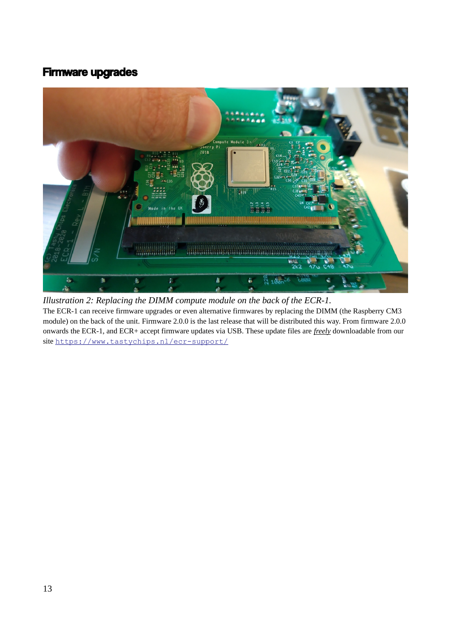# Firmware upgrades



The ECR-1 can receive firmware upgrades or even alternative firmwares by replacing the DIMM (the Raspberry CM3 module) on the back of the unit. Firmware 2.0.0 is the last release that will be distributed this way. From firmware 2.0.0 onwards the ECR-1, and ECR+ accept firmware updates via USB. These update files are *freely* downloadable from our site <https://www.tastychips.nl/ecr-support/> *Illustration 2: Replacing the DIMM compute module on the back of the ECR-1.*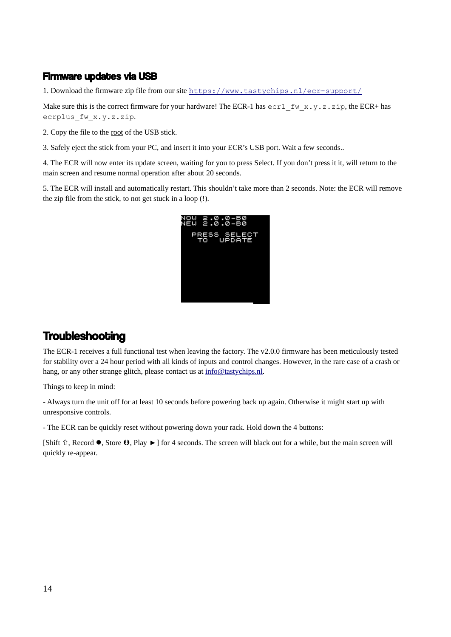### Firmware updates via USB

1. Download the firmware zip file from our site <https://www.tastychips.nl/ecr-support/>

Make sure this is the correct firmware for your hardware! The ECR-1 has  $\text{ecr1}_f$  fw  $x.y.z.z$ . zip, the ECR+ has ecrplus fw x.y.z.zip.

2. Copy the file to the root of the USB stick.

3. Safely eject the stick from your PC, and insert it into your ECR's USB port. Wait a few seconds..

4. The ECR will now enter its update screen, waiting for you to press Select. If you don't press it it, will return to the main screen and resume normal operation after about 20 seconds.

5. The ECR will install and automatically restart. This shouldn't take more than 2 seconds. Note: the ECR will remove the zip file from the stick, to not get stuck in a loop (!).



# **Troubleshooting**

The ECR-1 receives a full functional test when leaving the factory. The v2.0.0 firmware has been meticulously tested for stability over a 24 hour period with all kinds of inputs and control changes. However, in the rare case of a crash or hang, or any other strange glitch, please contact us at  $info@$ tastychips.nl.

Things to keep in mind:

- Always turn the unit off for at least 10 seconds before powering back up again. Otherwise it might start up with unresponsive controls.

- The ECR can be quickly reset without powering down your rack. Hold down the 4 buttons:

[Shift  $\hat{u}$ , Record  $\bullet$ , Store  $\bullet$ , Play ►] for 4 seconds. The screen will black out for a while, but the main screen will quickly re-appear.